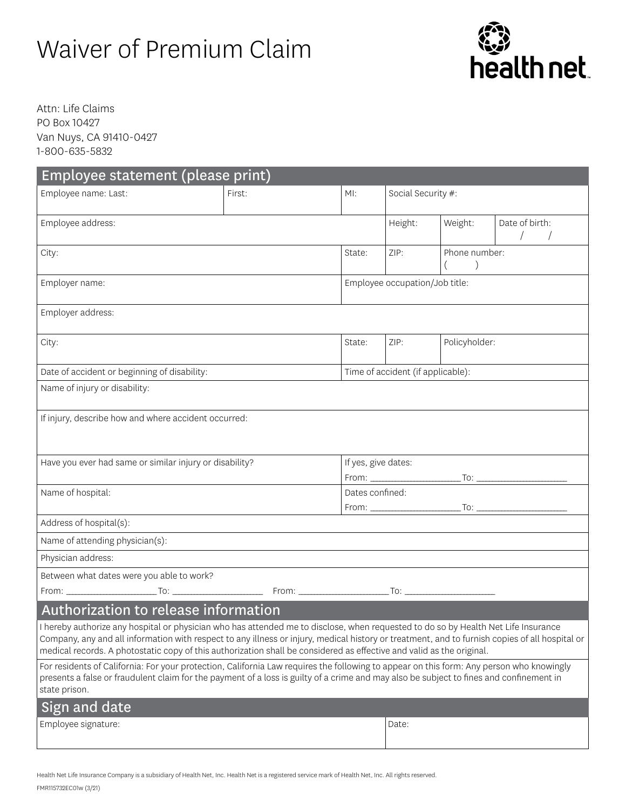# Waiver of Premium Claim



Attn: Life Claims PO Box 10427 Van Nuys, CA 91410-0427 1-800-635-5832

| Employee statement (please print)                                                                                                                                                                                                                                                                                                                                                                             |        |     |                                   |               |                |  |  |  |  |  |
|---------------------------------------------------------------------------------------------------------------------------------------------------------------------------------------------------------------------------------------------------------------------------------------------------------------------------------------------------------------------------------------------------------------|--------|-----|-----------------------------------|---------------|----------------|--|--|--|--|--|
| Employee name: Last:                                                                                                                                                                                                                                                                                                                                                                                          | First: | MI: | Social Security #:                |               |                |  |  |  |  |  |
|                                                                                                                                                                                                                                                                                                                                                                                                               |        |     | Height:                           |               | Date of birth: |  |  |  |  |  |
| Employee address:                                                                                                                                                                                                                                                                                                                                                                                             |        |     |                                   | Weight:       | $\sqrt{2}$     |  |  |  |  |  |
| City:                                                                                                                                                                                                                                                                                                                                                                                                         |        |     | ZIP:                              | Phone number: |                |  |  |  |  |  |
| Employer name:                                                                                                                                                                                                                                                                                                                                                                                                |        |     | Employee occupation/Job title:    |               |                |  |  |  |  |  |
| Employer address:                                                                                                                                                                                                                                                                                                                                                                                             |        |     |                                   |               |                |  |  |  |  |  |
| City:                                                                                                                                                                                                                                                                                                                                                                                                         |        |     | ZIP:                              | Policyholder: |                |  |  |  |  |  |
| Date of accident or beginning of disability:                                                                                                                                                                                                                                                                                                                                                                  |        |     | Time of accident (if applicable): |               |                |  |  |  |  |  |
| Name of injury or disability:                                                                                                                                                                                                                                                                                                                                                                                 |        |     |                                   |               |                |  |  |  |  |  |
|                                                                                                                                                                                                                                                                                                                                                                                                               |        |     |                                   |               |                |  |  |  |  |  |
| If injury, describe how and where accident occurred:                                                                                                                                                                                                                                                                                                                                                          |        |     |                                   |               |                |  |  |  |  |  |
| Have you ever had same or similar injury or disability?                                                                                                                                                                                                                                                                                                                                                       |        |     | If yes, give dates:               |               |                |  |  |  |  |  |
|                                                                                                                                                                                                                                                                                                                                                                                                               |        |     |                                   |               |                |  |  |  |  |  |
| Name of hospital:                                                                                                                                                                                                                                                                                                                                                                                             |        |     | Dates confined:                   |               |                |  |  |  |  |  |
| Address of hospital(s):                                                                                                                                                                                                                                                                                                                                                                                       |        |     |                                   |               |                |  |  |  |  |  |
| Name of attending physician(s):                                                                                                                                                                                                                                                                                                                                                                               |        |     |                                   |               |                |  |  |  |  |  |
| Physician address:                                                                                                                                                                                                                                                                                                                                                                                            |        |     |                                   |               |                |  |  |  |  |  |
| Between what dates were you able to work?                                                                                                                                                                                                                                                                                                                                                                     |        |     |                                   |               |                |  |  |  |  |  |
|                                                                                                                                                                                                                                                                                                                                                                                                               |        |     |                                   |               |                |  |  |  |  |  |
| Authorization to release information                                                                                                                                                                                                                                                                                                                                                                          |        |     |                                   |               |                |  |  |  |  |  |
| I hereby authorize any hospital or physician who has attended me to disclose, when requested to do so by Health Net Life Insurance<br>Company, any and all information with respect to any illness or injury, medical history or treatment, and to furnish copies of all hospital or<br>medical records. A photostatic copy of this authorization shall be considered as effective and valid as the original. |        |     |                                   |               |                |  |  |  |  |  |
| For residents of California: For your protection, California Law requires the following to appear on this form: Any person who knowingly<br>presents a false or fraudulent claim for the payment of a loss is guilty of a crime and may also be subject to fines and confinement in<br>state prison.                                                                                                          |        |     |                                   |               |                |  |  |  |  |  |
| Sign and date                                                                                                                                                                                                                                                                                                                                                                                                 |        |     |                                   |               |                |  |  |  |  |  |
| Employee signature:                                                                                                                                                                                                                                                                                                                                                                                           |        |     | Date:                             |               |                |  |  |  |  |  |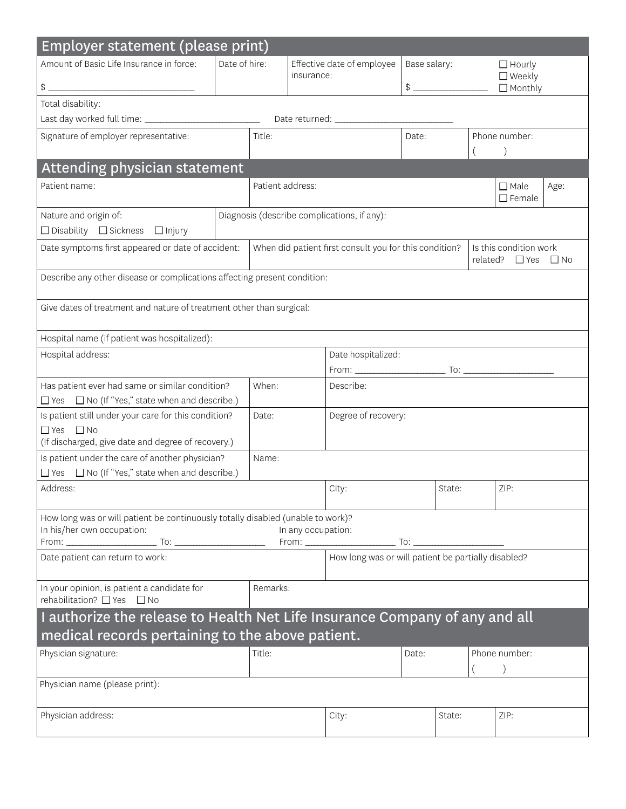| Amount of Basic Life Insurance in force:<br>Date of hire:<br>Effective date of employee<br>Base salary:<br>$\Box$ Hourly<br>$\Box$ Weekly<br>insurance:<br>$\frac{1}{2}$<br>$\qquad \qquad \$$<br>$\Box$ Monthly<br>Total disability:<br>Signature of employer representative:<br>Title:<br>Phone number:<br>Date:<br>Attending physician statement<br>Patient address:<br>Patient name:<br>$\Box$ Male<br>Age:<br>$\Box$ Female<br>Diagnosis (describe complications, if any):<br>Nature and origin of:<br>$\Box$ Disability $\Box$ Sickness $\Box$ Injury<br>Date symptoms first appeared or date of accident:<br>When did patient first consult you for this condition?<br>Is this condition work<br>related? $\Box$ Yes<br>$\Box$ No<br>Describe any other disease or complications affecting present condition:<br>Give dates of treatment and nature of treatment other than surgical:<br>Hospital name (if patient was hospitalized):<br>Hospital address:<br>Date hospitalized:<br>When:<br>Has patient ever had same or similar condition?<br>Describe:<br>$\Box$ Yes $\Box$ No (If "Yes," state when and describe.)<br>Is patient still under your care for this condition?<br>Degree of recovery:<br>Date:<br>$\Box$ Yes $\Box$ No<br>(If discharged, give date and degree of recovery.)<br>Is patient under the care of another physician?<br>Name:<br>$\Box$ Yes $\Box$ No (If "Yes," state when and describe.)<br>Address:<br>ZIP:<br>City:<br>State:<br>How long was or will patient be continuously totally disabled (unable to work)?<br>In his/her own occupation:<br>In any occupation:<br>How long was or will patient be partially disabled?<br>Date patient can return to work:<br>Remarks:<br>In your opinion, is patient a candidate for<br>rehabilitation? □ Yes □ No<br>I authorize the release to Health Net Life Insurance Company of any and all<br>medical records pertaining to the above patient.<br>Phone number:<br>Title:<br>Date:<br>$\left( \right)$<br>Physician address:<br>ZIP:<br>City:<br>State: | Employer statement (please print) |  |  |  |  |  |  |  |  |  |  |  |
|--------------------------------------------------------------------------------------------------------------------------------------------------------------------------------------------------------------------------------------------------------------------------------------------------------------------------------------------------------------------------------------------------------------------------------------------------------------------------------------------------------------------------------------------------------------------------------------------------------------------------------------------------------------------------------------------------------------------------------------------------------------------------------------------------------------------------------------------------------------------------------------------------------------------------------------------------------------------------------------------------------------------------------------------------------------------------------------------------------------------------------------------------------------------------------------------------------------------------------------------------------------------------------------------------------------------------------------------------------------------------------------------------------------------------------------------------------------------------------------------------------------------------------------------------------------------------------------------------------------------------------------------------------------------------------------------------------------------------------------------------------------------------------------------------------------------------------------------------------------------------------------------------------------------------------------------------------------------------------------------------------------------------------------------|-----------------------------------|--|--|--|--|--|--|--|--|--|--|--|
|                                                                                                                                                                                                                                                                                                                                                                                                                                                                                                                                                                                                                                                                                                                                                                                                                                                                                                                                                                                                                                                                                                                                                                                                                                                                                                                                                                                                                                                                                                                                                                                                                                                                                                                                                                                                                                                                                                                                                                                                                                            |                                   |  |  |  |  |  |  |  |  |  |  |  |
|                                                                                                                                                                                                                                                                                                                                                                                                                                                                                                                                                                                                                                                                                                                                                                                                                                                                                                                                                                                                                                                                                                                                                                                                                                                                                                                                                                                                                                                                                                                                                                                                                                                                                                                                                                                                                                                                                                                                                                                                                                            |                                   |  |  |  |  |  |  |  |  |  |  |  |
|                                                                                                                                                                                                                                                                                                                                                                                                                                                                                                                                                                                                                                                                                                                                                                                                                                                                                                                                                                                                                                                                                                                                                                                                                                                                                                                                                                                                                                                                                                                                                                                                                                                                                                                                                                                                                                                                                                                                                                                                                                            |                                   |  |  |  |  |  |  |  |  |  |  |  |
|                                                                                                                                                                                                                                                                                                                                                                                                                                                                                                                                                                                                                                                                                                                                                                                                                                                                                                                                                                                                                                                                                                                                                                                                                                                                                                                                                                                                                                                                                                                                                                                                                                                                                                                                                                                                                                                                                                                                                                                                                                            |                                   |  |  |  |  |  |  |  |  |  |  |  |
|                                                                                                                                                                                                                                                                                                                                                                                                                                                                                                                                                                                                                                                                                                                                                                                                                                                                                                                                                                                                                                                                                                                                                                                                                                                                                                                                                                                                                                                                                                                                                                                                                                                                                                                                                                                                                                                                                                                                                                                                                                            |                                   |  |  |  |  |  |  |  |  |  |  |  |
|                                                                                                                                                                                                                                                                                                                                                                                                                                                                                                                                                                                                                                                                                                                                                                                                                                                                                                                                                                                                                                                                                                                                                                                                                                                                                                                                                                                                                                                                                                                                                                                                                                                                                                                                                                                                                                                                                                                                                                                                                                            |                                   |  |  |  |  |  |  |  |  |  |  |  |
|                                                                                                                                                                                                                                                                                                                                                                                                                                                                                                                                                                                                                                                                                                                                                                                                                                                                                                                                                                                                                                                                                                                                                                                                                                                                                                                                                                                                                                                                                                                                                                                                                                                                                                                                                                                                                                                                                                                                                                                                                                            |                                   |  |  |  |  |  |  |  |  |  |  |  |
|                                                                                                                                                                                                                                                                                                                                                                                                                                                                                                                                                                                                                                                                                                                                                                                                                                                                                                                                                                                                                                                                                                                                                                                                                                                                                                                                                                                                                                                                                                                                                                                                                                                                                                                                                                                                                                                                                                                                                                                                                                            |                                   |  |  |  |  |  |  |  |  |  |  |  |
|                                                                                                                                                                                                                                                                                                                                                                                                                                                                                                                                                                                                                                                                                                                                                                                                                                                                                                                                                                                                                                                                                                                                                                                                                                                                                                                                                                                                                                                                                                                                                                                                                                                                                                                                                                                                                                                                                                                                                                                                                                            |                                   |  |  |  |  |  |  |  |  |  |  |  |
|                                                                                                                                                                                                                                                                                                                                                                                                                                                                                                                                                                                                                                                                                                                                                                                                                                                                                                                                                                                                                                                                                                                                                                                                                                                                                                                                                                                                                                                                                                                                                                                                                                                                                                                                                                                                                                                                                                                                                                                                                                            |                                   |  |  |  |  |  |  |  |  |  |  |  |
|                                                                                                                                                                                                                                                                                                                                                                                                                                                                                                                                                                                                                                                                                                                                                                                                                                                                                                                                                                                                                                                                                                                                                                                                                                                                                                                                                                                                                                                                                                                                                                                                                                                                                                                                                                                                                                                                                                                                                                                                                                            |                                   |  |  |  |  |  |  |  |  |  |  |  |
|                                                                                                                                                                                                                                                                                                                                                                                                                                                                                                                                                                                                                                                                                                                                                                                                                                                                                                                                                                                                                                                                                                                                                                                                                                                                                                                                                                                                                                                                                                                                                                                                                                                                                                                                                                                                                                                                                                                                                                                                                                            |                                   |  |  |  |  |  |  |  |  |  |  |  |
|                                                                                                                                                                                                                                                                                                                                                                                                                                                                                                                                                                                                                                                                                                                                                                                                                                                                                                                                                                                                                                                                                                                                                                                                                                                                                                                                                                                                                                                                                                                                                                                                                                                                                                                                                                                                                                                                                                                                                                                                                                            |                                   |  |  |  |  |  |  |  |  |  |  |  |
|                                                                                                                                                                                                                                                                                                                                                                                                                                                                                                                                                                                                                                                                                                                                                                                                                                                                                                                                                                                                                                                                                                                                                                                                                                                                                                                                                                                                                                                                                                                                                                                                                                                                                                                                                                                                                                                                                                                                                                                                                                            |                                   |  |  |  |  |  |  |  |  |  |  |  |
|                                                                                                                                                                                                                                                                                                                                                                                                                                                                                                                                                                                                                                                                                                                                                                                                                                                                                                                                                                                                                                                                                                                                                                                                                                                                                                                                                                                                                                                                                                                                                                                                                                                                                                                                                                                                                                                                                                                                                                                                                                            |                                   |  |  |  |  |  |  |  |  |  |  |  |
|                                                                                                                                                                                                                                                                                                                                                                                                                                                                                                                                                                                                                                                                                                                                                                                                                                                                                                                                                                                                                                                                                                                                                                                                                                                                                                                                                                                                                                                                                                                                                                                                                                                                                                                                                                                                                                                                                                                                                                                                                                            |                                   |  |  |  |  |  |  |  |  |  |  |  |
|                                                                                                                                                                                                                                                                                                                                                                                                                                                                                                                                                                                                                                                                                                                                                                                                                                                                                                                                                                                                                                                                                                                                                                                                                                                                                                                                                                                                                                                                                                                                                                                                                                                                                                                                                                                                                                                                                                                                                                                                                                            |                                   |  |  |  |  |  |  |  |  |  |  |  |
|                                                                                                                                                                                                                                                                                                                                                                                                                                                                                                                                                                                                                                                                                                                                                                                                                                                                                                                                                                                                                                                                                                                                                                                                                                                                                                                                                                                                                                                                                                                                                                                                                                                                                                                                                                                                                                                                                                                                                                                                                                            |                                   |  |  |  |  |  |  |  |  |  |  |  |
|                                                                                                                                                                                                                                                                                                                                                                                                                                                                                                                                                                                                                                                                                                                                                                                                                                                                                                                                                                                                                                                                                                                                                                                                                                                                                                                                                                                                                                                                                                                                                                                                                                                                                                                                                                                                                                                                                                                                                                                                                                            |                                   |  |  |  |  |  |  |  |  |  |  |  |
|                                                                                                                                                                                                                                                                                                                                                                                                                                                                                                                                                                                                                                                                                                                                                                                                                                                                                                                                                                                                                                                                                                                                                                                                                                                                                                                                                                                                                                                                                                                                                                                                                                                                                                                                                                                                                                                                                                                                                                                                                                            |                                   |  |  |  |  |  |  |  |  |  |  |  |
|                                                                                                                                                                                                                                                                                                                                                                                                                                                                                                                                                                                                                                                                                                                                                                                                                                                                                                                                                                                                                                                                                                                                                                                                                                                                                                                                                                                                                                                                                                                                                                                                                                                                                                                                                                                                                                                                                                                                                                                                                                            |                                   |  |  |  |  |  |  |  |  |  |  |  |
|                                                                                                                                                                                                                                                                                                                                                                                                                                                                                                                                                                                                                                                                                                                                                                                                                                                                                                                                                                                                                                                                                                                                                                                                                                                                                                                                                                                                                                                                                                                                                                                                                                                                                                                                                                                                                                                                                                                                                                                                                                            |                                   |  |  |  |  |  |  |  |  |  |  |  |
|                                                                                                                                                                                                                                                                                                                                                                                                                                                                                                                                                                                                                                                                                                                                                                                                                                                                                                                                                                                                                                                                                                                                                                                                                                                                                                                                                                                                                                                                                                                                                                                                                                                                                                                                                                                                                                                                                                                                                                                                                                            |                                   |  |  |  |  |  |  |  |  |  |  |  |
|                                                                                                                                                                                                                                                                                                                                                                                                                                                                                                                                                                                                                                                                                                                                                                                                                                                                                                                                                                                                                                                                                                                                                                                                                                                                                                                                                                                                                                                                                                                                                                                                                                                                                                                                                                                                                                                                                                                                                                                                                                            |                                   |  |  |  |  |  |  |  |  |  |  |  |
|                                                                                                                                                                                                                                                                                                                                                                                                                                                                                                                                                                                                                                                                                                                                                                                                                                                                                                                                                                                                                                                                                                                                                                                                                                                                                                                                                                                                                                                                                                                                                                                                                                                                                                                                                                                                                                                                                                                                                                                                                                            |                                   |  |  |  |  |  |  |  |  |  |  |  |
|                                                                                                                                                                                                                                                                                                                                                                                                                                                                                                                                                                                                                                                                                                                                                                                                                                                                                                                                                                                                                                                                                                                                                                                                                                                                                                                                                                                                                                                                                                                                                                                                                                                                                                                                                                                                                                                                                                                                                                                                                                            |                                   |  |  |  |  |  |  |  |  |  |  |  |
|                                                                                                                                                                                                                                                                                                                                                                                                                                                                                                                                                                                                                                                                                                                                                                                                                                                                                                                                                                                                                                                                                                                                                                                                                                                                                                                                                                                                                                                                                                                                                                                                                                                                                                                                                                                                                                                                                                                                                                                                                                            |                                   |  |  |  |  |  |  |  |  |  |  |  |
|                                                                                                                                                                                                                                                                                                                                                                                                                                                                                                                                                                                                                                                                                                                                                                                                                                                                                                                                                                                                                                                                                                                                                                                                                                                                                                                                                                                                                                                                                                                                                                                                                                                                                                                                                                                                                                                                                                                                                                                                                                            |                                   |  |  |  |  |  |  |  |  |  |  |  |
|                                                                                                                                                                                                                                                                                                                                                                                                                                                                                                                                                                                                                                                                                                                                                                                                                                                                                                                                                                                                                                                                                                                                                                                                                                                                                                                                                                                                                                                                                                                                                                                                                                                                                                                                                                                                                                                                                                                                                                                                                                            |                                   |  |  |  |  |  |  |  |  |  |  |  |
|                                                                                                                                                                                                                                                                                                                                                                                                                                                                                                                                                                                                                                                                                                                                                                                                                                                                                                                                                                                                                                                                                                                                                                                                                                                                                                                                                                                                                                                                                                                                                                                                                                                                                                                                                                                                                                                                                                                                                                                                                                            |                                   |  |  |  |  |  |  |  |  |  |  |  |
|                                                                                                                                                                                                                                                                                                                                                                                                                                                                                                                                                                                                                                                                                                                                                                                                                                                                                                                                                                                                                                                                                                                                                                                                                                                                                                                                                                                                                                                                                                                                                                                                                                                                                                                                                                                                                                                                                                                                                                                                                                            |                                   |  |  |  |  |  |  |  |  |  |  |  |
|                                                                                                                                                                                                                                                                                                                                                                                                                                                                                                                                                                                                                                                                                                                                                                                                                                                                                                                                                                                                                                                                                                                                                                                                                                                                                                                                                                                                                                                                                                                                                                                                                                                                                                                                                                                                                                                                                                                                                                                                                                            | Physician signature:              |  |  |  |  |  |  |  |  |  |  |  |
|                                                                                                                                                                                                                                                                                                                                                                                                                                                                                                                                                                                                                                                                                                                                                                                                                                                                                                                                                                                                                                                                                                                                                                                                                                                                                                                                                                                                                                                                                                                                                                                                                                                                                                                                                                                                                                                                                                                                                                                                                                            |                                   |  |  |  |  |  |  |  |  |  |  |  |
|                                                                                                                                                                                                                                                                                                                                                                                                                                                                                                                                                                                                                                                                                                                                                                                                                                                                                                                                                                                                                                                                                                                                                                                                                                                                                                                                                                                                                                                                                                                                                                                                                                                                                                                                                                                                                                                                                                                                                                                                                                            | Physician name (please print):    |  |  |  |  |  |  |  |  |  |  |  |
|                                                                                                                                                                                                                                                                                                                                                                                                                                                                                                                                                                                                                                                                                                                                                                                                                                                                                                                                                                                                                                                                                                                                                                                                                                                                                                                                                                                                                                                                                                                                                                                                                                                                                                                                                                                                                                                                                                                                                                                                                                            |                                   |  |  |  |  |  |  |  |  |  |  |  |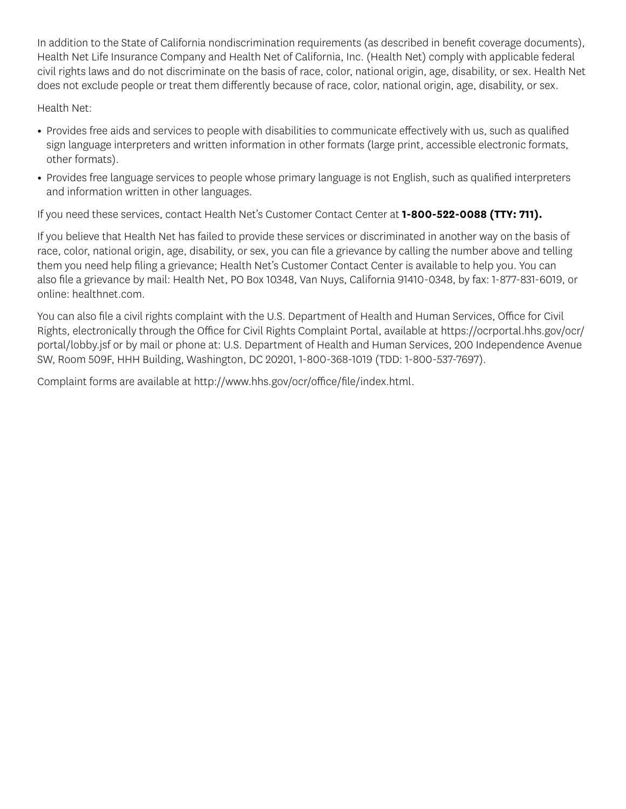In addition to the State of California nondiscrimination requirements (as described in benefit coverage documents), Health Net Life Insurance Company and Health Net of California, Inc. (Health Net) comply with applicable federal civil rights laws and do not discriminate on the basis of race, color, national origin, age, disability, or sex. Health Net does not exclude people or treat them differently because of race, color, national origin, age, disability, or sex.

Health Net:

- Provides free aids and services to people with disabilities to communicate effectively with us, such as qualified sign language interpreters and written information in other formats (large print, accessible electronic formats, other formats).
- Provides free language services to people whose primary language is not English, such as qualified interpreters and information written in other languages.

If you need these services, contact Health Net's Customer Contact Center at **1-800-522-0088 (TTY: 711).** 

If you believe that Health Net has failed to provide these services or discriminated in another way on the basis of race, color, national origin, age, disability, or sex, you can file a grievance by calling the number above and telling them you need help filing a grievance; Health Net's Customer Contact Center is available to help you. You can also file a grievance by mail: Health Net, PO Box 10348, Van Nuys, California 91410-0348, by fax: 1-877-831-6019, or online: healthnet.com.

You can also file a civil rights complaint with the U.S. Department of Health and Human Services, Office for Civil Rights, electronically through the Office for Civil Rights Complaint Portal, available at https://ocrportal.hhs.gov/ocr/ [portal/lobby.jsf](https://ocrportal.hhs.gov/ocr/portal/lobby.jsf) or by mail or phone at: U.S. Department of Health and Human Services, 200 Independence Avenue SW, Room 509F, HHH Building, Washington, DC 20201, 1-800-368-1019 (TDD: 1-800-537-7697).

Complaint forms are available at http://www.hhs.gov/ocr/office/file/index.html.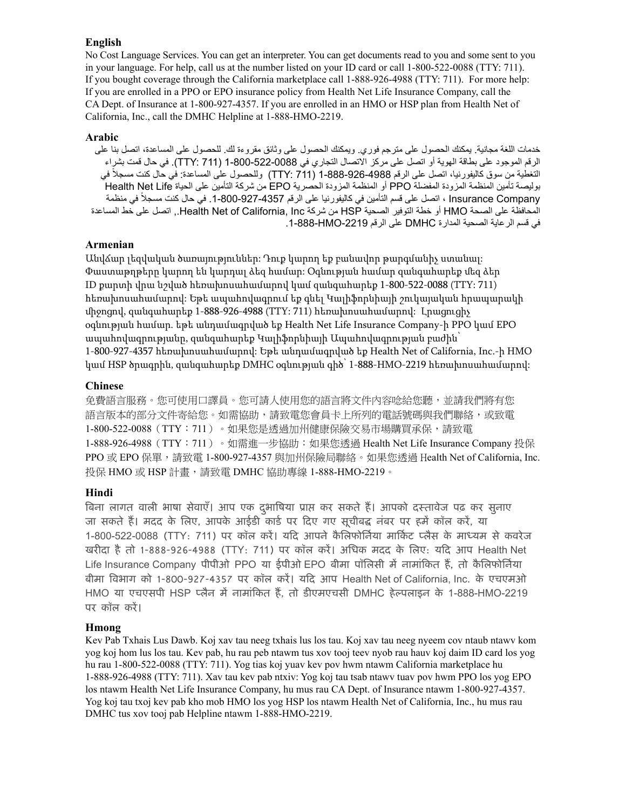#### **English**

No Cost Language Services. You can get an interpreter. You can get documents read to you and some sent to you in your language. For help, call us at the number listed on your ID card or call 1-800-522-0088 (TTY: 711). If you bought coverage through the California marketplace call 1-888-926-4988 (TTY: 711). For more help: If you are enrolled in a PPO or EPO insurance policy from Health Net Life Insurance Company, call the CA Dept. of Insurance at 1-800-927-4357. If you are enrolled in an HMO or HSP plan from Health Net of California, Inc., call the DMHC Helpline at 1-888-HMO-2219.

### **Arabic**

خدمات اللغة مجانية. يمكنك الحصول على مترجم فوري. ويمكنك الحصول على وثائق مقروءة لك. للحصول على المساعدة، اتصل بنا على الرقم الموجود على بطاقة الهوية أو اتصل على مركز االتصال التجاري في 1-800-522-0088 )711 :TTY). في حال قمت بشراء التغطية من سوق كاليفورنيا، اتصل على الرقم 1-888-926-4988 )711 :TTY )وللحصول على المساعدة: في حال كنت مسجال في بوليصة تأمين المنظمة المزودة المفضلة PPO أو المنظمة المزودة الحصرية EPO من شركة التأمين على الحياة Life Net Health Company Insurance ، اتصل على قسم التأمين في كاليفورنيا على الرقم .1-800-927-4357 في حال كنت مسجال في منظمة المحافظة على الصحة HMO أو خطة التوفير الصحية HSP من شركة Inc ,California of Net Health,. اتصل على خط المساعدة في قسم الرعاية الصحية المدارة DMHC على الرقم -2219HMO1-888- . ֧֖֖֖֖֖֖֖֖֚֚֚֚֚֚֚֚֚֚֚֚֝֟֟֓֕<br>֧֪֪֪֪֪֝֝֝**֓** ֧֖֖֖֖֖֖֚֚֚֚֚֚֝֟֟֟֟֟<br>֧֪֚֝<br>֖֖֖֖֚֚֚֚֝֝֝֝**֚** 

#### **Armenian**

Անվճար լեզվական ծառայություններ: Դուք կարող եք բանավոր թարգմանիչ ստանալ: Փաստաթղթերը կարող են կարդալ ձեզ համար: Օգնության համար զանգահարեք մեզ ձեր ID քարտի վրա նշված հեռախոսահամարով կամ զանգահարեք 1-800-522-0088 (TTY: 711) հեռախոսահամարով: Եթե ապահովագրում եք գնել Կալիֆորնիայի շուկայական հրապարակի միջոցով, զանգահարեք 1-888-926-4988 (TTY: 711) հեռախոսահամարով: Լրացուցիչ օգնության համար. եթե անդամագրված եք Health Net Life Insurance Company-ի PPO կամ EPO ապահովագրությանը, զանգահարեք Կալիֆորնիայի Ապահովագրության բաժին՝ 1-800-927-4357 հեռախոսահամարով: Եթե անդամագրված եք Health Net of California, Inc.-ի HMO կամ HSP ծրագրին, զանգահարեք DMHC օգնության գիծ՝ 1-888-HMO-2219 հեռախոսահամարով:

#### **Chinese**

PPO 或 EPO 保單,請致電 1-800-927-4357 與加州保險局聯絡。如果您透過 Health Net of California, Inc. 免費語言服務。您可使用口譯員。您可請人使用您的語言將文件內容唸給您聽,並請我們將有您 語言版本的部分文件寄給您。如需協助,請致電您會員卡上所列的電話號碼與我們聯絡,或致電 1-800-522-0088(TTY:711)。如果您是透過加州健康保險交易市場購買承保,請致電 1-888-926-4988(TTY:711)。如需進一步協助:如果您透過 Health Net Life Insurance Company 投保 投保 HMO 或 HSP 計畫,請致電 DMHC 協助專線 1-888-HMO-2219。

#### **Hindi**

बिना लागत वाली भाषा सेवाएं। आप एक दुर्भाषिया प्राप्त कर सकते है। आपको दस्तावेज पढ़ कर सुनाए जा सकते हैं। मदद के लिए, आपके आईडी कार्ड पर दिए गए सूचीबद्ध नंबर पर हमें कॉल करें, या 1-800-522-0088 (TTY: 711) पर कॉल करे। यदि आपने कैलिफोर्निया मार्किट प्लैस के माध्यम से कवरेज खरीदा है तो 1-888-926-4988 (TTY: 711) पर कॉल करे। अधिक मदद के लिए: यदि आप Health Net Life Insurance Company पीपीओ PPO या ईपीओ EPO बीमा पॉलिसी में नामाकित है, तो कैलिफोर्निया बीमा विभाग को 1-800-927-4357 पर कॉल करे। यदि आप Health Net of California, Inc. के एचएमओ HMO या एचएसपी HSP प्लैन में नामांकित है, तो डीएमएचसी DMHC हेल्पलाइन के 1-888-HMO-2219 पर कॉल कर। ें

#### **Hmong**

Kev Pab Txhais Lus Dawb. Koj xav tau neeg txhais lus los tau. Koj xav tau neeg nyeem cov ntaub ntawv kom yog koj hom lus los tau. Kev pab, hu rau peb ntawm tus xov tooj teev nyob rau hauv koj daim ID card los yog hu rau 1-800-522-0088 (TTY: 711). Yog tias koj yuav kev pov hwm ntawm California marketplace hu 1-888-926-4988 (TTY: 711). Xav tau kev pab ntxiv: Yog koj tau tsab ntawv tuav pov hwm PPO los yog EPO los ntawm Health Net Life Insurance Company, hu mus rau CA Dept. of Insurance ntawm 1-800-927-4357. Yog koj tau txoj kev pab kho mob HMO los yog HSP los ntawm Health Net of California, Inc., hu mus rau DMHC tus xov tooj pab Helpline ntawm 1-888-HMO-2219.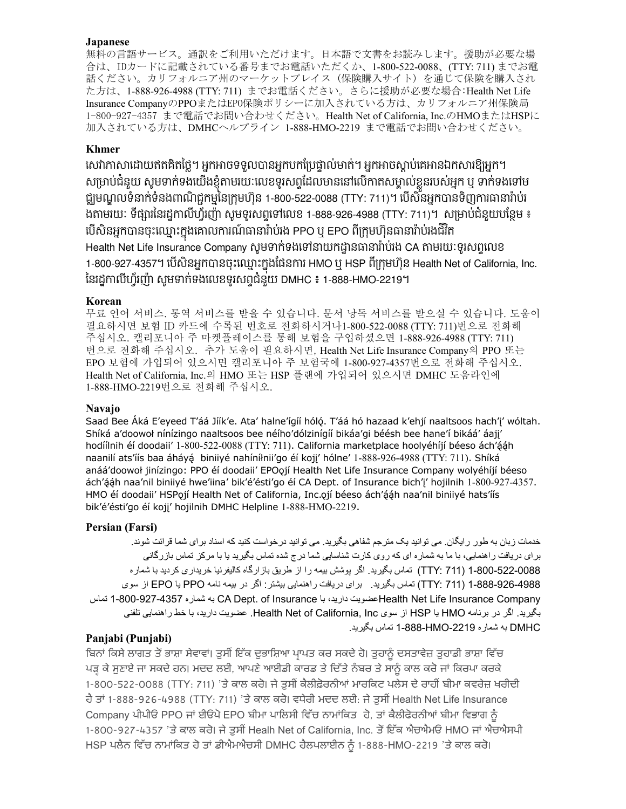#### **Japanese**

無料の言語サービス。通訳をご利用いただけます。日本語で文書をお読みします。援助が必要な場 合は、IDカードに記載されている番号までお電話いただくか、1-800-522-0088、(TTY: 711) までお電 話ください。カリフォルニア州のマーケットプレイス (保険購入サイト) を通じて保険を購入され た方は、1-888-926-4988 (TTY: 711) までお電話ください。さらに援助が必要な場合: Health Net Life Insurance CompanyのPPOまたはEPO保険ポリシーに加入されている方は、カリフォルニア州保険局 1-800-927-4357 まで電話でお問い合わせください。Health Net of California, Inc.のHMOまたはHSPに 加入されている方は、DMHCヘルプライン 1-888-HMO-2219 まで電話でお問い合わせください。

## **Khmer**

ិ សម្រាបជំនួយ សូមទាក់ទងយេងខ្ញុំតាមរយៈលេខទូរសព្ទដើលមាននៅលេកាត់សម្គាល់ខ្លួនរបស់អ្នក ឬ ទាក់ទងទៅម វ័ ជ្ឈមណ្ឌលទនាកទនងពាណជ្ជកម្មនេក្រុមហុន 1-800-522-0088 (TTY: 711)។ បេសនអ្នកបានទញការធានារាបរ ូ បេសនអ្នកបានចុះឈ្មោះក្នុងគោលការណធានារាបរង PPO ឬ EPO ពក្រុមហ៊ុនធានារាបរងជរត Health Net Life Insurance Company សូមទាកទងទោនាយកដ្ឋានធានារាបរង CA តាមរយៈទូរសព្ទបេខ ់ ូ សេវាភាសាដោយឥតគិតថ្លេ។ អ្នកអាចទទួលបានអ្នកបកប្រេផ្ទាលមាត។ អ្នកអាចស្តាប់គេអានឯកសារខ្យអ្នក។ ់ ងតាមរយៈ ទផ្សារនេរដ្ឋកាលហ្វរញា សូមទូរសព្វទៅលេខ 1-888-926-4988 (TTY: 711)។ សម្រាបជំនួយបន្ថេម ៖ 1-800-927-4357។ បេសនអ្នកបានចុះឈ្មោះក្នុងផេនការ HMO ឬ HSP ពក្រុមហុន Health Net of California, Inc.<br>. នេរដ្ឋកាលហ្វរញា សូមទាកទងលេខទូរសព្ទជំនួយ DMHC ៖ 1-888-HMO-2219។

#### **Korean**

무료 언어 서비스. 통역 서비스를 받을 수 있습니다. 문서 낭독 서비스를 받으실 수 있습니다. 도움이 필요하시면 보험 ID 카드에 수록된 번호로 전화하시거나1-800-522-0088 (TTY: 711) 번으로 전화해 주십시오. 캘리포니아 주 마켓플레이스를 통해 보험을 구입하셨으면 1-888-926-4988 (TTY: 711) 번으로 전화해 주십시오. 추가 도움이 필요하시면, Health Net Life Insurance Company의 PPO 또는 EPO 보험에 가입되어 있으시면 캘리포니아 주 보험국에 1-800-927-4357번으로 전화해 주십시오. Health Net of California, Inc.의 HMO 또는 HSP 플랜에 가입되어 있으시면 DMHC 도움라인에 1-888-HMO-2219번으로 전화해 주십시오.

#### **Navajo**

Saad Bee Áká E'eyeed T'áá Jíík'e. Ata' halne'ígíí hóló. T'áá hó hazaad k'ehjí naaltsoos hach'j' wóltah. Shíká a'doowoł nínízingo naaltsoos bee néího'dólzinígíí bikáa'gi béésh bee hane'í bikáá' áajj' hodíílnih éí doodaii' 1-800-522-0088 (TTY: 711). California marketplace hoolyéhíjí béeso ách'ááh naanilí ats'íís baa áháyá biniiyé nahíníłnii'go éí koji' hólne' 1-888-926-4988 (TTY: 711). Shíká anáá'doowoł jinízingo: PPO éí doodaii' EPOojí Health Net Life Insurance Company wolyéhíjí béeso ách'ááh naa'nil biniiyé hwe'iina' bik'é'ésti'go éí CA Dept. of Insurance bich'j' hojilnih 1-800-927-4357. HMO éí doodaii' HSPojí Health Net of California, Inc.ojí béeso ách'ááh naa'nil biniiyé hats'íís bik'é'ésti'go éí koji' hojilnih DMHC Helpline 1-888-HMO-2219.

#### **Persian (Farsi) Persian (Farsi)**

خدمات زبان به طور رايگان. می توانيد يک مترجم شفاهی بگيريد. می توانيد درخواست کنيد که اسناد برای شما قرائت شوند. خدمات زبان به طور رايگان. می توانيد يک مترجم شفاهی بگيريد. می توانيد درخواست کنيد که اسناد برای شما قرائت شوند بر ای دريافت راهنمايی، با ما به شماره ای که روی کارت شناسايی شما درج شده تماس بگيريد يا با مرکز تماس بازرگانی 1-800-522-0088 (TTY: 711) تماس بگيريد. اگر پوشش بيمه را از طريق بازارگاه کاليفرنيا خريداری کرديد با شماره 1-888-926-4988 (TTY: 711) تماس بگيريد. برای دريافت راهنمايی بيشتر: اگر در بيمه نامه PPO يا EPO از سوی Health Net Life Insurance Companyضويت داريد، با CA Dept. of Insurance به شماره 4357-800-927 تماس بگيريد. اگر در برنامه HMO يا HSP از سوی Health Net of California, Inc . عضويت داريد، با خط راهنمايی تلفنی DMHC به شماره -2219HMO1-888- تماس بگيريد.

# **Panjabi (Punjabi)**

ਬਿਨਾਂ ਕਿਸੇ ਲਾਗਤ ਤੋਂ ਭਾਸ਼ਾ ਸੇਵਾਵਾਂ। ਤੁਸੀਂ ਇੱਕ ਦੁਭਾਸ਼ਿਆ ਪ੍ਰਾਪਤ ਕਰ ਸਕਦੇ ਹੋ। ਤੁਹਾਨੂੰ ਦਸਤਾਵੇਜ਼ ਤੁਹਾਡੀ ਭਾਸ਼ਾ ਵਿੱਚ ਪੜ੍ਹ ਕੇ ਸੁਣਾਏ ਜਾ ਸਕਦੇ ਹਨ। ਮਦਦ ਲਈ, ਆਪਣੇ ਆਈਡੀ ਕਾਰਡ ਤੇ ਦਿੱਤੇ ਨੰਬਰ ਤੇ ਸਾਨੂੰ ਕਾਲ ਕਰੋ ਜਾਂ ਕਿਰਪਾ ਕਰਕੇ 1-800-522-0088 (TTY: 711) 'ਤੇ ਕਾਲ ਕਰੋ। ਜੇ ਤੁਸੀਂ ਕੈਲੀਫ਼ੋਰਨੀਆਂ ਮਾਰਕਿਟ ਪਲੇਸ ਦੇ ਰਾਹੀਂ ਬੀਮਾ ਕਵਰੇਜ਼ ਖਰੀਦੀ ਹੈ ਤਾਂ 1-888-926-4988 (TTY: 711) 'ਤੇ ਕਾਲ ਕਰੋ। ਵਧੇਰੀ ਮਦਦ ਲਈ: ਜੇ ਤੁਸੀਂ Health Net Life Insurance Company ਪੀਪੀਓ PPO ਜਾਂ ਈਓਪੇ EPO ਬੀਮਾ ਪਾਲਿਸੀ ਵਿੱਚ ਨਾਮਾਂਕਿਤ ਹੋ, ਤਾਂ ਕੈਲੀਫੇਰਨੀਆਂ ਬੀਮਾ ਵਿਭਾਗ ਨੂੰ 1-800-927-4357 'ਤੇ ਕਾਲ ਕਰੋ। ਜੇ ਤੁਸੀਂ Healh Net of California, Inc. ਤੋਂ ਇੱਕ ਐਚਐਮਓ HMO ਜਾਂ ਐਚਐਸਪੀ HSP ਪਲੈਨ ਵਿੱਚ ਨਾਮਾਂਕਿਤ ਹੋ ਤਾਂ ਡੀਐਮਐਚਸੀ DMHC ਹੈਲਪਲਾਈਨ ਨੂੰ 1-888-HMO-2219 'ਤੇ ਕਾਲ ਕਰੋ। ੇ

HSP ਪਲੈਨ ਬਵੱਚ ਨਾਮਾਂਬਿਤ ਹੋ ਤਾਂ ਡੀਐਮਐਚਸੀ DMHC ਹੈਲਪਲਾਈਨ ਨੂੰ 1-888-HMO-2219 'ਤੇ ਿਾਲ ਿਰੋ।